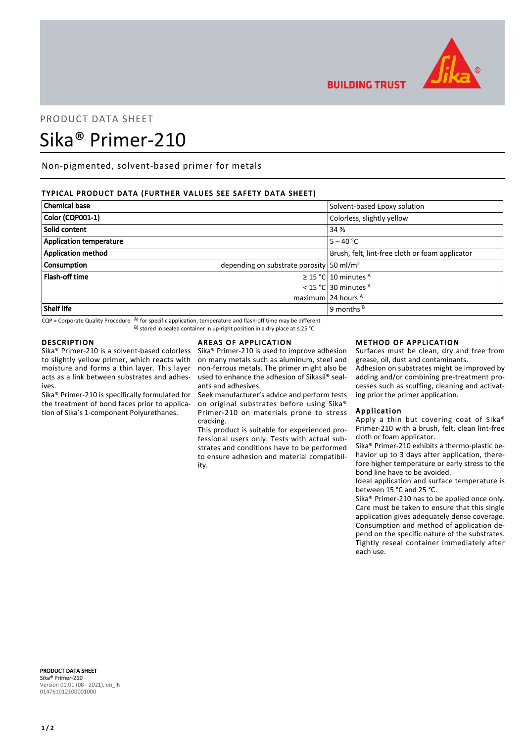

# PRODUCT DATA SHEET Sika® Primer-210

Non-pigmented, solvent-based primer for metals

## TYPICAL PRODUCT DATA (FURTHER VALUES SEE SAFETY DATA SHEET)

| <b>Chemical base</b>           | Solvent-based Epoxy solution                             |
|--------------------------------|----------------------------------------------------------|
| Color (CQP001-1)               | Colorless, slightly yellow                               |
| Solid content                  | 34 %                                                     |
| <b>Application temperature</b> | $5 - 40 °C$                                              |
| <b>Application method</b>      | Brush, felt, lint-free cloth or foam applicator          |
| <b>Consumption</b>             | depending on substrate porosity $\frac{50 \text{ m}}{2}$ |
| <b>Flash-off time</b>          | $\geq$ 15 °C 10 minutes <sup>A</sup>                     |
|                                | < 15 °C 30 minutes $A$                                   |
|                                | maximum 24 hours $A$                                     |
| Shelf life                     | 9 months $B$                                             |

 $CQP$  = Corporate Quality Procedure  $AP$  for specific application, temperature and flash-off time may be different B) stored in sealed container in up-right position in a dry place at ≤ 25 °C

## DESCRIPTION

Sika® Primer-210 is a solvent-based colorless to slightly yellow primer, which reacts with moisture and forms a thin layer. This layer acts as a link between substrates and adhesives.

Sika® Primer-210 is specifically formulated for the treatment of bond faces prior to application of Sika's 1-component Polyurethanes.

## AREAS OF APPLICATION

Sika® Primer-210 is used to improve adhesion on many metals such as aluminum, steel and non-ferrous metals. The primer might also be used to enhance the adhesion of Sikasil® sealants and adhesives.

Seek manufacturer's advice and perform tests on original substrates before using Sika® Primer-210 on materials prone to stress cracking.

This product is suitable for experienced professional users only. Tests with actual substrates and conditions have to be performed to ensure adhesion and material compatibility.

#### METHOD OF APPLICATION

Surfaces must be clean, dry and free from grease, oil, dust and contaminants.

Adhesion on substrates might be improved by adding and/or combining pre-treatment processes such as scuffing, cleaning and activating prior the primer application.

## Application

**BUILDING TRUST** 

Apply a thin but covering coat of Sika® Primer-210 with a brush, felt, clean lint-free cloth or foam applicator.

Sika® Primer-210 exhibits a thermo-plastic behavior up to 3 days after application, therefore higher temperature or early stress to the bond line have to be avoided.

Ideal application and surface temperature is between 15 °C and 25 °C.

Sika® Primer-210 has to be applied once only. Care must be taken to ensure that this single application gives adequately dense coverage. Consumption and method of application depend on the specific nature of the substrates. Tightly reseal container immediately after each use.

PRODUCT DATA SHEET Sika® Primer-210 Version 01.01 (08 - 2021), en\_IN 014761012100001000